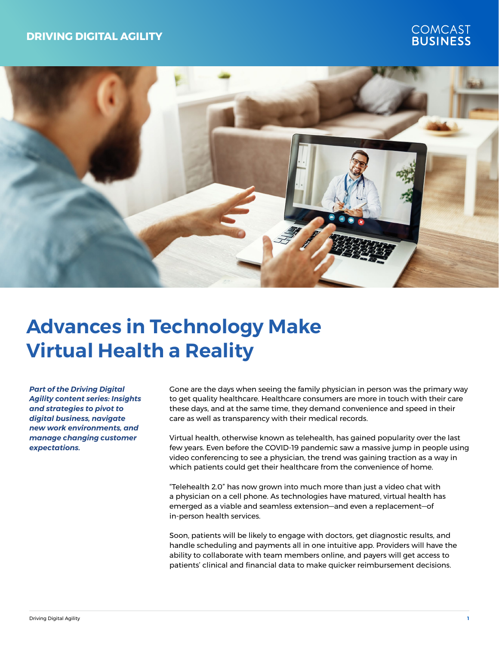### **DRIVING DIGITAL AGILITY**

# COMCAST<br>**BUSINESS**



## **Advances in Technology Make Virtual Health a Reality**

*Part of the Driving Digital Agility content series: Insights and strategies to pivot to digital business, navigate new work environments, and manage changing customer expectations.*

Gone are the days when seeing the family physician in person was the primary way to get quality healthcare. Healthcare consumers are more in touch with their care these days, and at the same time, they demand convenience and speed in their care as well as transparency with their medical records.

Virtual health, otherwise known as telehealth, has gained popularity over the last few years. Even before the COVID-19 pandemic saw a massive jump in people using video conferencing to see a physician, the trend was gaining traction as a way in which patients could get their healthcare from the convenience of home.

"Telehealth 2.0" has now grown into much more than just a video chat with a physician on a cell phone. As technologies have matured, virtual health has emerged as a viable and seamless extension—and even a replacement—of in-person health services.

Soon, patients will be likely to engage with doctors, get diagnostic results, and handle scheduling and payments all in one intuitive app. Providers will have the ability to collaborate with team members online, and payers will get access to patients' clinical and financial data to make quicker reimbursement decisions.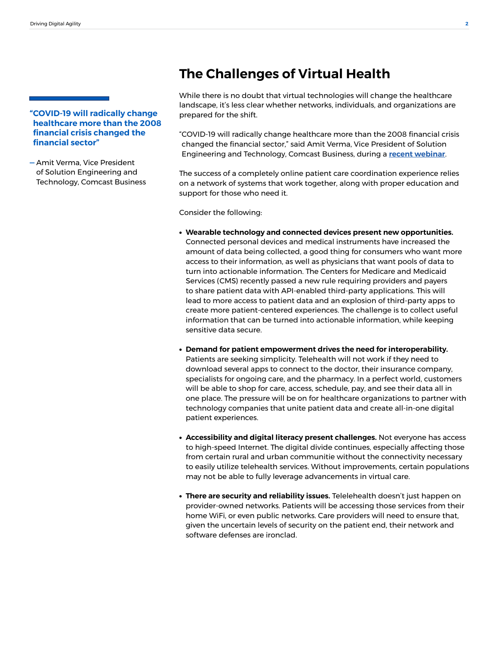#### **"COVID-19 will radically change healthcare more than the 2008 financial crisis changed the financial sector"**

**—** Amit Verma, Vice President of Solution Engineering and Technology, Comcast Business

## **The Challenges of Virtual Health**

While there is no doubt that virtual technologies will change the healthcare landscape, it's less clear whether networks, individuals, and organizations are prepared for the shift.

"COVID-19 will radically change healthcare more than the 2008 financial crisis changed the financial sector," said Amit Verma, Vice President of Solution Engineering and Technology, Comcast Business, during a **[recent webinar](https://www.modernhealthcare.com/VirtualHealthWebinar)**.

The success of a completely online patient care coordination experience relies on a network of systems that work together, along with proper education and support for those who need it.

Consider the following:

- **Wearable technology and connected devices present new opportunities.** Connected personal devices and medical instruments have increased the amount of data being collected, a good thing for consumers who want more access to their information, as well as physicians that want pools of data to turn into actionable information. The Centers for Medicare and Medicaid Services (CMS) recently passed a new rule requiring providers and payers to share patient data with API-enabled third-party applications. This will lead to more access to patient data and an explosion of third-party apps to create more patient-centered experiences. The challenge is to collect useful information that can be turned into actionable information, while keeping sensitive data secure.
- **Demand for patient empowerment drives the need for interoperability.** Patients are seeking simplicity. Telehealth will not work if they need to download several apps to connect to the doctor, their insurance company, specialists for ongoing care, and the pharmacy. In a perfect world, customers will be able to shop for care, access, schedule, pay, and see their data all in one place. The pressure will be on for healthcare organizations to partner with technology companies that unite patient data and create all-in-one digital patient experiences.
- **Accessibility and digital literacy present challenges.** Not everyone has access to high-speed Internet. The digital divide continues, especially affecting those from certain rural and urban communitie without the connectivity necessary to easily utilize telehealth services. Without improvements, certain populations may not be able to fully leverage advancements in virtual care.
- **There are security and reliability issues.** Telelehealth doesn't just happen on provider-owned networks. Patients will be accessing those services from their home WiFi, or even public networks. Care providers will need to ensure that, given the uncertain levels of security on the patient end, their network and software defenses are ironclad.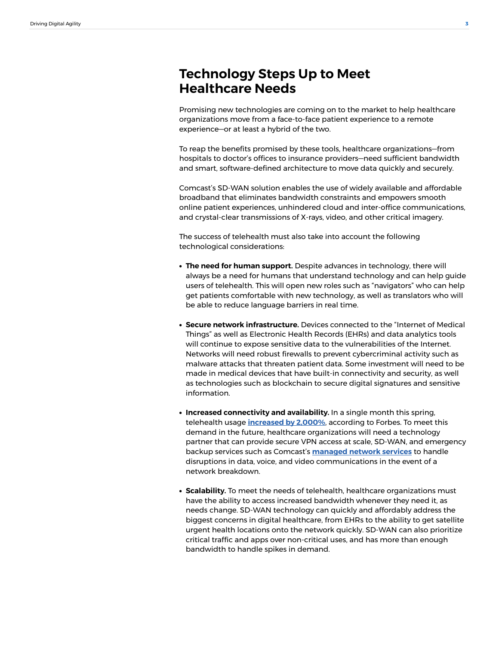## **Technology Steps Up to Meet Healthcare Needs**

Promising new technologies are coming on to the market to help healthcare organizations move from a face-to-face patient experience to a remote experience—or at least a hybrid of the two.

To reap the benefits promised by these tools, healthcare organizations—from hospitals to doctor's offices to insurance providers—need sufficient bandwidth and smart, software-defined architecture to move data quickly and securely.

Comcast's SD-WAN solution enables the use of widely available and affordable broadband that eliminates bandwidth constraints and empowers smooth online patient experiences, unhindered cloud and inter-office communications, and crystal-clear transmissions of X-rays, video, and other critical imagery.

The success of telehealth must also take into account the following technological considerations:

- **The need for human support.** Despite advances in technology, there will always be a need for humans that understand technology and can help guide users of telehealth. This will open new roles such as "navigators" who can help get patients comfortable with new technology, as well as translators who will be able to reduce language barriers in real time.
- **Secure network infrastructure.** Devices connected to the "Internet of Medical Things" as well as Electronic Health Records (EHRs) and data analytics tools will continue to expose sensitive data to the vulnerabilities of the Internet. Networks will need robust firewalls to prevent cybercriminal activity such as malware attacks that threaten patient data. Some investment will need to be made in medical devices that have built-in connectivity and security, as well as technologies such as blockchain to secure digital signatures and sensitive information.
- **Increased connectivity and availability.** In a single month this spring, telehealth usage **[increased by 2,000%](https://www.forbes.com/sites/johnkoetsier/2020/04/23/telemedicine-up-2000-says-vonage-as-health-care-goes-digital/#4ab8ce5600ec)**, according to Forbes. To meet this demand in the future, healthcare organizations will need a technology partner that can provide secure VPN access at scale, SD-WAN, and emergency backup services such as Comcast's **[managed network services](https://business.comcast.com/enterprise/products-services/managed-services/managed-business-continuity)** to handle disruptions in data, voice, and video communications in the event of a network breakdown.
- **Scalability.** To meet the needs of telehealth, healthcare organizations must have the ability to access increased bandwidth whenever they need it, as needs change. SD-WAN technology can quickly and affordably address the biggest concerns in digital healthcare, from EHRs to the ability to get satellite urgent health locations onto the network quickly. SD-WAN can also prioritize critical traffic and apps over non-critical uses, and has more than enough bandwidth to handle spikes in demand.